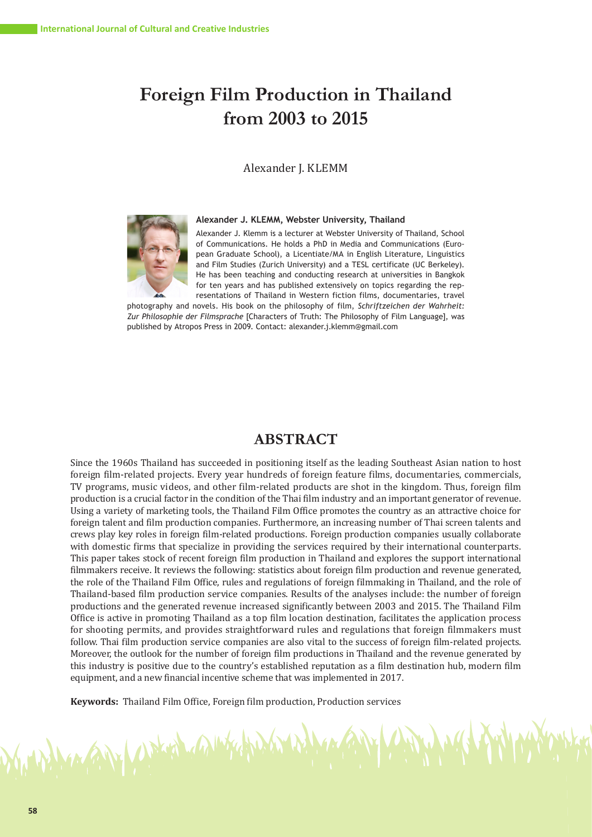# **Foreign Film Production in Thailand from 2003 to 2015**

## Alexander J. KLEMM

**Alexander J. KLEMM, Webster University, Thailand**



Alexander J. Klemm is a lecturer at Webster University of Thailand, School of Communications. He holds a PhD in Media and Communications (European Graduate School), a Licentiate/MA in English Literature, Linguistics and Film Studies (Zurich University) and a TESL certificate (UC Berkeley). He has been teaching and conducting research at universities in Bangkok for ten years and has published extensively on topics regarding the representations of Thailand in Western fiction films, documentaries, travel

photography and novels. His book on the philosophy of film, *Schriftzeichen der Wahrheit: Zur Philosophie der Filmsprache* [Characters of Truth: The Philosophy of Film Language], was published by Atropos Press in 2009. Contact: alexander.j.klemm@gmail.com

# **ABSTRACT**

Since the 1960s Thailand has succeeded in positioning itself as the leading Southeast Asian nation to host foreign film-related projects. Every year hundreds of foreign feature films, documentaries, commercials, TV programs, music videos, and other film-related products are shot in the kingdom. Thus, foreign film production is a crucial factor in the condition of the Thai film industry and an important generator of revenue. Using a variety of marketing tools, the Thailand Film Office promotes the country as an attractive choice for foreign talent and film production companies. Furthermore, an increasing number of Thai screen talents and crews play key roles in foreign film-related productions. Foreign production companies usually collaborate with domestic firms that specialize in providing the services required by their international counterparts. This paper takes stock of recent foreign film production in Thailand and explores the support international filmmakers receive. It reviews the following: statistics about foreign film production and revenue generated, the role of the Thailand Film Office, rules and regulations of foreign filmmaking in Thailand, and the role of Thailand-based film production service companies. Results of the analyses include: the number of foreign productions and the generated revenue increased significantly between 2003 and 2015. The Thailand Film Office is active in promoting Thailand as a top film location destination, facilitates the application process for shooting permits, and provides straightforward rules and regulations that foreign filmmakers must follow. Thai film production service companies are also vital to the success of foreign film-related projects. Moreover, the outlook for the number of foreign film productions in Thailand and the revenue generated by this industry is positive due to the country's established reputation as a film destination hub, modern film equipment, and a new financial incentive scheme that was implemented in 2017.

**Keywords:** Thailand Film Office, Foreign film production, Production services

ANY CALLANT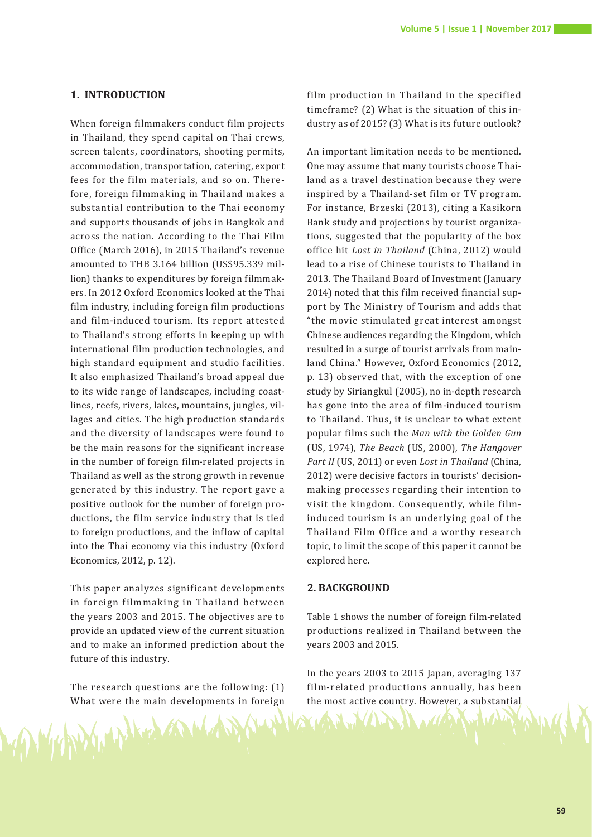#### **1. INTRODUCTION**

When foreign filmmakers conduct film projects in Thailand, they spend capital on Thai crews, screen talents, coordinators, shooting permits, accommodation, transportation, catering, export fees for the film materials, and so on. Therefore, foreign filmmaking in Thailand makes a substantial contribution to the Thai economy and supports thousands of jobs in Bangkok and across the nation. According to the Thai Film Office (March 2016), in 2015 Thailand's revenue amounted to THB 3.164 billion (US\$95.339 million) thanks to expenditures by foreign filmmakers. In 2012 Oxford Economics looked at the Thai film industry, including foreign film productions and film-induced tourism. Its report attested to Thailand's strong efforts in keeping up with international film production technologies, and high standard equipment and studio facilities. It also emphasized Thailand's broad appeal due to its wide range of landscapes, including coastlines, reefs, rivers, lakes, mountains, jungles, villages and cities. The high production standards and the diversity of landscapes were found to be the main reasons for the significant increase in the number of foreign film-related projects in Thailand as well as the strong growth in revenue generated by this industry. The report gave a positive outlook for the number of foreign productions, the film service industry that is tied to foreign productions, and the inflow of capital into the Thai economy via this industry (Oxford Economics, 2012, p. 12).

This paper analyzes significant developments in foreign filmmaking in Thailand between the years 2003 and 2015. The objectives are to provide an updated view of the current situation and to make an informed prediction about the future of this industry.

The research questions are the following: (1) What were the main developments in foreign

WARDY HALLA

film production in Thailand in the specified timeframe? (2) What is the situation of this industry as of 2015? (3) What is its future outlook?

An important limitation needs to be mentioned. One may assume that many tourists choose Thailand as a travel destination because they were inspired by a Thailand-set film or TV program. For instance, Brzeski (2013), citing a Kasikorn Bank study and projections by tourist organizations, suggested that the popularity of the box office hit *Lost in Thailand* (China, 2012) would lead to a rise of Chinese tourists to Thailand in 2013. The Thailand Board of Investment (January 2014) noted that this film received financial support by The Ministry of Tourism and adds that "the movie stimulated great interest amongst Chinese audiences regarding the Kingdom, which resulted in a surge of tourist arrivals from mainland China." However, Oxford Economics (2012, p. 13) observed that, with the exception of one study by Siriangkul (2005), no in-depth research has gone into the area of film-induced tourism to Thailand. Thus, it is unclear to what extent popular films such the *Man with the Golden Gun* (US, 1974), *The Beach* (US, 2000), *The Hangover Part II* (US, 2011) or even *Lost in Thailand* (China, 2012) were decisive factors in tourists' decisionmaking processes regarding their intention to visit the kingdom. Consequently, while filminduced tourism is an underlying goal of the Thailand Film Office and a worthy research topic, to limit the scope of this paper it cannot be explored here.

#### **2. BACKGROUND**

Table 1 shows the number of foreign film-related productions realized in Thailand between the years 2003 and 2015.

In the years 2003 to 2015 Japan, averaging 137 film-related productions annually, has been the most active country. However, a substantial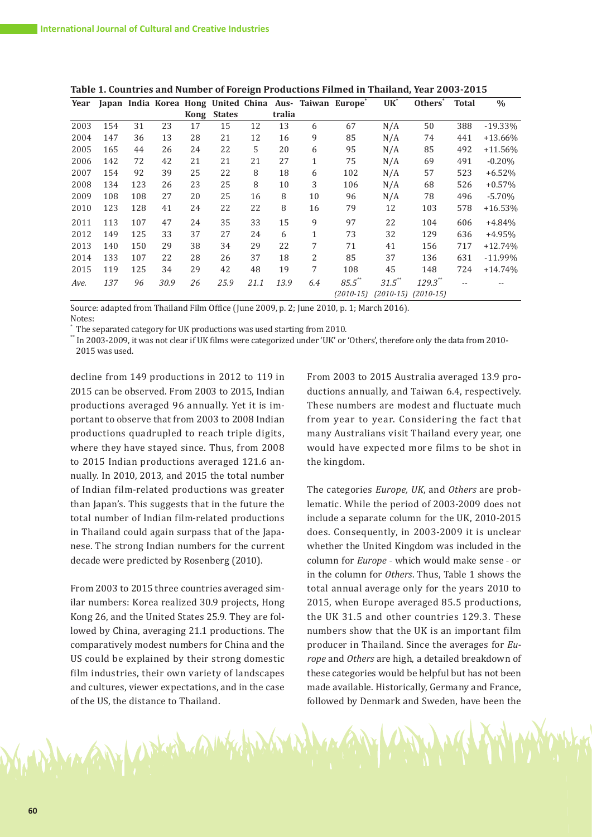| Year |     |     |      |      |               |      |        |              | Japan India Korea Hong United China Aus- Taiwan Europe <sup>*</sup> | $UK^*$    | Others <sup>®</sup>     | <b>Total</b> | $\%$       |
|------|-----|-----|------|------|---------------|------|--------|--------------|---------------------------------------------------------------------|-----------|-------------------------|--------------|------------|
|      |     |     |      | Kong | <b>States</b> |      | tralia |              |                                                                     |           |                         |              |            |
| 2003 | 154 | 31  | 23   | 17   | 15            | 12   | 13     | 6            | 67                                                                  | N/A       | 50                      | 388          | $-19.33\%$ |
| 2004 | 147 | 36  | 13   | 28   | 21            | 12   | 16     | 9            | 85                                                                  | N/A       | 74                      | 441          | $+13.66%$  |
| 2005 | 165 | 44  | 26   | 24   | 22            | 5    | 20     | 6            | 95                                                                  | N/A       | 85                      | 492          | $+11.56%$  |
| 2006 | 142 | 72  | 42   | 21   | 21            | 21   | 27     | $\mathbf{1}$ | 75                                                                  | N/A       | 69                      | 491          | $-0.20%$   |
| 2007 | 154 | 92  | 39   | 25   | 22            | 8    | 18     | 6            | 102                                                                 | N/A       | 57                      | 523          | $+6.52%$   |
| 2008 | 134 | 123 | 26   | 23   | 25            | 8    | 10     | 3            | 106                                                                 | N/A       | 68                      | 526          | $+0.57%$   |
| 2009 | 108 | 108 | 27   | 20   | 25            | 16   | 8      | 10           | 96                                                                  | N/A       | 78                      | 496          | $-5.70%$   |
| 2010 | 123 | 128 | 41   | 24   | 22            | 22   | 8      | 16           | 79                                                                  | 12        | 103                     | 578          | $+16.53%$  |
| 2011 | 113 | 107 | 47   | 24   | 35            | 33   | 15     | 9            | 97                                                                  | 22        | 104                     | 606          | $+4.84%$   |
| 2012 | 149 | 125 | 33   | 37   | 27            | 24   | 6      | $\mathbf{1}$ | 73                                                                  | 32        | 129                     | 636          | $+4.95%$   |
| 2013 | 140 | 150 | 29   | 38   | 34            | 29   | 22     | 7            | 71                                                                  | 41        | 156                     | 717          | $+12.74%$  |
| 2014 | 133 | 107 | 22   | 28   | 26            | 37   | 18     | 2            | 85                                                                  | 37        | 136                     | 631          | $-11.99%$  |
| 2015 | 119 | 125 | 34   | 29   | 42            | 48   | 19     | 7            | 108                                                                 | 45        | 148                     | 724          | $+14.74%$  |
| Ave. | 137 | 96  | 30.9 | 26   | 25.9          | 21.1 | 13.9   | 6.4          | $85.5$ **                                                           | $31.5$ ** | $129.3$ **              |              |            |
|      |     |     |      |      |               |      |        |              | $(2010-15)$                                                         |           | $(2010-15)$ $(2010-15)$ |              |            |

**Table 1. Countries and Number of Foreign Productions Filmed in Thailand, Year 2003-2015**

Source: adapted from Thailand Film Office (June 2009, p. 2; June 2010, p. 1; March 2016).

Notes:<br>The separated category for UK productions was used starting from 2010. The separated category for UK productions was used starting from 2010.

\*\* In 2003-2009, it was not clear if UK films were categorized under 'UK' or 'Others', therefore only the data from 2010- 2015 was used.

decline from 149 productions in 2012 to 119 in 2015 can be observed. From 2003 to 2015, Indian productions averaged 96 annually. Yet it is important to observe that from 2003 to 2008 Indian productions quadrupled to reach triple digits, where they have stayed since. Thus, from 2008 to 2015 Indian productions averaged 121.6 annually. In 2010, 2013, and 2015 the total number of Indian film-related productions was greater than Japan's. This suggests that in the future the total number of Indian film-related productions in Thailand could again surpass that of the Japanese. The strong Indian numbers for the current decade were predicted by Rosenberg (2010).

From 2003 to 2015 three countries averaged similar numbers: Korea realized 30.9 projects, Hong Kong 26, and the United States 25.9. They are followed by China, averaging 21.1 productions. The comparatively modest numbers for China and the US could be explained by their strong domestic film industries, their own variety of landscapes and cultures, viewer expectations, and in the case of the US, the distance to Thailand.

ANY UNES ANY

From 2003 to 2015 Australia averaged 13.9 productions annually, and Taiwan 6.4, respectively. These numbers are modest and fluctuate much from year to year. Considering the fact that many Australians visit Thailand every year, one would have expected more films to be shot in the kingdom.

The categories *Europe, UK*, and *Others* are problematic. While the period of 2003-2009 does not include a separate column for the UK, 2010-2015 does. Consequently, in 2003-2009 it is unclear whether the United Kingdom was included in the column for *Europe* - which would make sense - or in the column for *Others*. Thus, Table 1 shows the total annual average only for the years 2010 to 2015, when Europe averaged 85.5 productions, the UK 31.5 and other countries 129.3. These numbers show that the UK is an important film producer in Thailand. Since the averages for *Europe* and *Others* are high, a detailed breakdown of these categories would be helpful but has not been made available. Historically, Germany and France, followed by Denmark and Sweden, have been the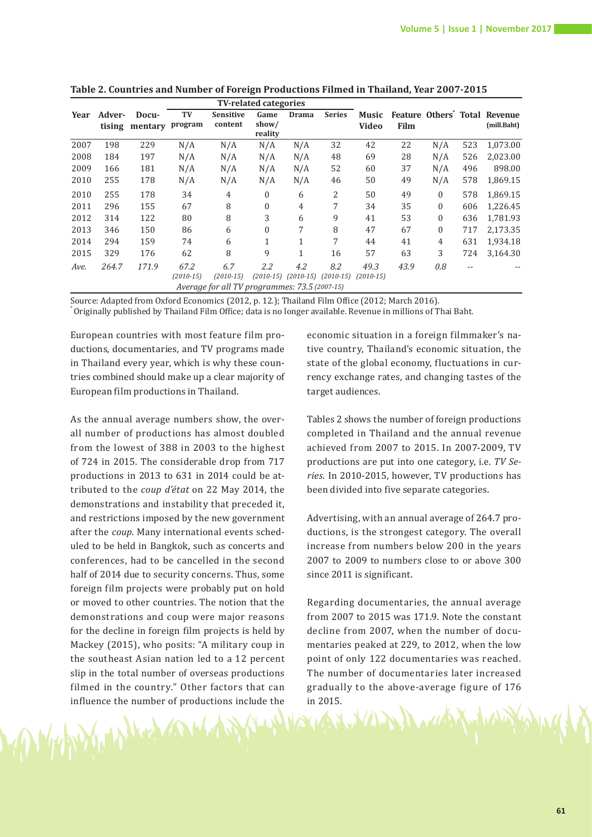|                                               | <b>TV-related categories</b> |                |             |                  |                  |                                     |               |             |      |                  |     |                                           |
|-----------------------------------------------|------------------------------|----------------|-------------|------------------|------------------|-------------------------------------|---------------|-------------|------|------------------|-----|-------------------------------------------|
| Year                                          | Adver-                       | Docu-          | TV          | <b>Sensitive</b> | Game             | <b>Drama</b>                        | <b>Series</b> | Music       |      |                  |     | Feature Others <sup>*</sup> Total Revenue |
|                                               |                              | tising mentary | program     | content          | show/<br>reality |                                     |               | Video       | Film |                  |     | (mill.Baht)                               |
| 2007                                          | 198                          | 229            | N/A         | N/A              | N/A              | N/A                                 | 32            | 42          | 22   | N/A              | 523 | 1,073.00                                  |
| 2008                                          | 184                          | 197            | N/A         | N/A              | N/A              | N/A                                 | 48            | 69          | 28   | N/A              | 526 | 2,023.00                                  |
| 2009                                          | 166                          | 181            | N/A         | N/A              | N/A              | N/A                                 | 52            | 60          | 37   | N/A              | 496 | 898.00                                    |
| 2010                                          | 255                          | 178            | N/A         | N/A              | N/A              | N/A                                 | 46            | 50          | 49   | N/A              | 578 | 1,869.15                                  |
| 2010                                          | 255                          | 178            | 34          | 4                | 0                | 6                                   | 2             | 50          | 49   | $\Omega$         | 578 | 1,869.15                                  |
| 2011                                          | 296                          | 155            | 67          | 8                | $\boldsymbol{0}$ | 4                                   | 7             | 34          | 35   | $\boldsymbol{0}$ | 606 | 1,226.45                                  |
| 2012                                          | 314                          | 122            | 80          | 8                | 3                | 6                                   | 9             | 41          | 53   | $\Omega$         | 636 | 1,781.93                                  |
| 2013                                          | 346                          | 150            | 86          | 6                | $\boldsymbol{0}$ | 7                                   | 8             | 47          | 67   | $\Omega$         | 717 | 2,173.35                                  |
| 2014                                          | 294                          | 159            | 74          | 6                | 1                | $\mathbf{1}$                        | 7             | 44          | 41   | 4                | 631 | 1,934.18                                  |
| 2015                                          | 329                          | 176            | 62          | 8                | 9                | 1                                   | 16            | 57          | 63   | 3                | 724 | 3,164.30                                  |
| Ave.                                          | 264.7                        | 171.9          | 67.2        | 6.7              | 2.2              | 4.2                                 | 8.2           | 49.3        | 43.9 | 0.8              | $-$ |                                           |
|                                               |                              |                | $(2010-15)$ | $(2010-15)$      |                  | $(2010-15)$ $(2010-15)$ $(2010-15)$ |               | $(2010-15)$ |      |                  |     |                                           |
| Average for all TV programmes: 73.5 (2007-15) |                              |                |             |                  |                  |                                     |               |             |      |                  |     |                                           |

**Table 2. Countries and Number of Foreign Productions Filmed in Thailand, Year 2007-2015**

Source: Adapted from Oxford Economics (2012, p. 12.); Thailand Film Office (2012; March 2016). \* Originally published by Thailand Film Office; data is no longer available. Revenue in millions of Thai Baht.

European countries with most feature film productions, documentaries, and TV programs made in Thailand every year, which is why these countries combined should make up a clear majority of European film productions in Thailand.

As the annual average numbers show, the overall number of productions has almost doubled from the lowest of 388 in 2003 to the highest of 724 in 2015. The considerable drop from 717 productions in 2013 to 631 in 2014 could be attributed to the *coup d'état* on 22 May 2014, the demonstrations and instability that preceded it, and restrictions imposed by the new government after the *coup*. Many international events scheduled to be held in Bangkok, such as concerts and conferences, had to be cancelled in the second half of 2014 due to security concerns. Thus, some foreign film projects were probably put on hold or moved to other countries. The notion that the demonstrations and coup were major reasons for the decline in foreign film projects is held by Mackey (2015), who posits: "A military coup in the southeast Asian nation led to a 12 percent slip in the total number of overseas productions filmed in the country." Other factors that can influence the number of productions include the

WARD WAS KING AND

economic situation in a foreign filmmaker's native country, Thailand's economic situation, the state of the global economy, fluctuations in currency exchange rates, and changing tastes of the target audiences.

Tables 2 shows the number of foreign productions completed in Thailand and the annual revenue achieved from 2007 to 2015. In 2007-2009, TV productions are put into one category, i.e. *TV Series*. In 2010-2015, however, TV productions has been divided into five separate categories.

Advertising, with an annual average of 264.7 productions, is the strongest category. The overall increase from numbers below 200 in the years 2007 to 2009 to numbers close to or above 300 since 2011 is significant.

Regarding documentaries, the annual average from 2007 to 2015 was 171.9. Note the constant decline from 2007, when the number of documentaries peaked at 229, to 2012, when the low point of only 122 documentaries was reached. The number of documentaries later increased gradually to the above-average figure of 176 in 2015.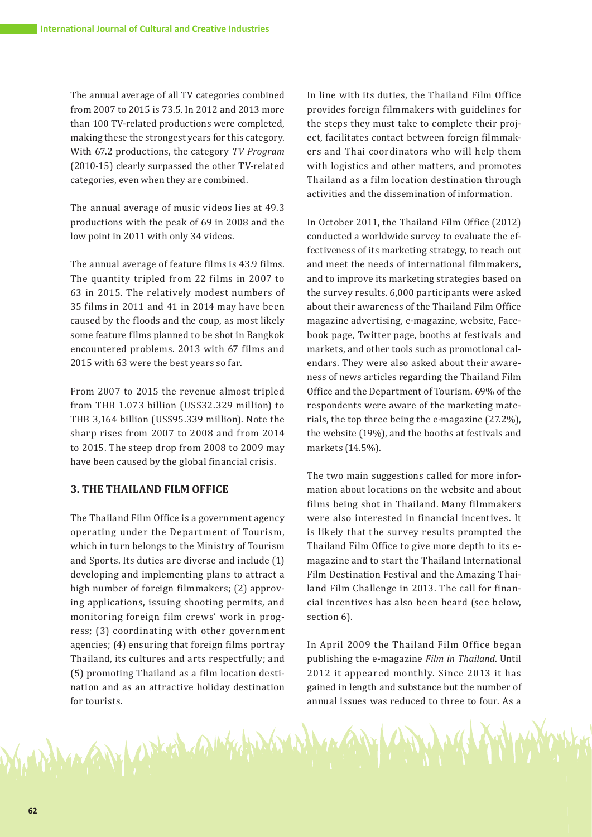The annual average of all TV categories combined from 2007 to 2015 is 73.5. In 2012 and 2013 more than 100 TV-related productions were completed, making these the strongest years for this category. With 67.2 productions, the category *TV Program* (2010-15) clearly surpassed the other TV-related categories, even when they are combined.

The annual average of music videos lies at 49.3 productions with the peak of 69 in 2008 and the low point in 2011 with only 34 videos.

The annual average of feature films is 43.9 films. The quantity tripled from 22 films in 2007 to 63 in 2015. The relatively modest numbers of 35 films in 2011 and 41 in 2014 may have been caused by the floods and the coup, as most likely some feature films planned to be shot in Bangkok encountered problems. 2013 with 67 films and 2015 with 63 were the best years so far.

From 2007 to 2015 the revenue almost tripled from THB 1.073 billion (US\$32.329 million) to THB 3,164 billion (US\$95.339 million). Note the sharp rises from 2007 to 2008 and from 2014 to 2015. The steep drop from 2008 to 2009 may have been caused by the global financial crisis.

# **3. THE THAILAND FILM OFFICE**

The Thailand Film Office is a government agency operating under the Department of Tourism, which in turn belongs to the Ministry of Tourism and Sports. Its duties are diverse and include (1) developing and implementing plans to attract a high number of foreign filmmakers; (2) approving applications, issuing shooting permits, and monitoring foreign film crews' work in progress; (3) coordinating with other government agencies; (4) ensuring that foreign films portray Thailand, its cultures and arts respectfully; and (5) promoting Thailand as a film location destination and as an attractive holiday destination for tourists.

Magazy Control and History

In line with its duties, the Thailand Film Office provides foreign filmmakers with guidelines for the steps they must take to complete their project, facilitates contact between foreign filmmakers and Thai coordinators who will help them with logistics and other matters, and promotes Thailand as a film location destination through activities and the dissemination of information.

In October 2011, the Thailand Film Office (2012) conducted a worldwide survey to evaluate the effectiveness of its marketing strategy, to reach out and meet the needs of international filmmakers, and to improve its marketing strategies based on the survey results. 6,000 participants were asked about their awareness of the Thailand Film Office magazine advertising, e-magazine, website, Facebook page, Twitter page, booths at festivals and markets, and other tools such as promotional calendars. They were also asked about their awareness of news articles regarding the Thailand Film Office and the Department of Tourism. 69% of the respondents were aware of the marketing materials, the top three being the e-magazine (27.2%), the website (19%), and the booths at festivals and markets (14.5%).

The two main suggestions called for more information about locations on the website and about films being shot in Thailand. Many filmmakers were also interested in financial incentives. It is likely that the survey results prompted the Thailand Film Office to give more depth to its emagazine and to start the Thailand International Film Destination Festival and the Amazing Thailand Film Challenge in 2013. The call for financial incentives has also been heard (see below, section 6).

In April 2009 the Thailand Film Office began publishing the e-magazine *Film in Thailand*. Until 2012 it appeared monthly. Since 2013 it has gained in length and substance but the number of annual issues was reduced to three to four. As a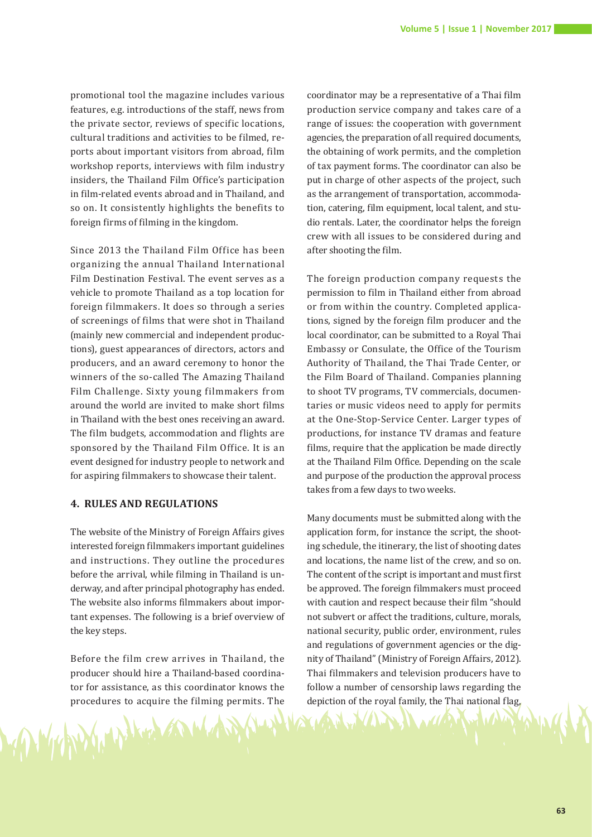promotional tool the magazine includes various features, e.g. introductions of the staff, news from the private sector, reviews of specific locations, cultural traditions and activities to be filmed, reports about important visitors from abroad, film workshop reports, interviews with film industry insiders, the Thailand Film Office's participation in film-related events abroad and in Thailand, and so on. It consistently highlights the benefits to foreign firms of filming in the kingdom.

Since 2013 the Thailand Film Office has been organizing the annual Thailand International Film Destination Festival. The event serves as a vehicle to promote Thailand as a top location for foreign filmmakers. It does so through a series of screenings of films that were shot in Thailand (mainly new commercial and independent productions), guest appearances of directors, actors and producers, and an award ceremony to honor the winners of the so-called The Amazing Thailand Film Challenge. Sixty young filmmakers from around the world are invited to make short films in Thailand with the best ones receiving an award. The film budgets, accommodation and flights are sponsored by the Thailand Film Office. It is an event designed for industry people to network and for aspiring filmmakers to showcase their talent.

# **4. RULES AND REGULATIONS**

The website of the Ministry of Foreign Affairs gives interested foreign filmmakers important guidelines and instructions. They outline the procedures before the arrival, while filming in Thailand is underway, and after principal photography has ended. The website also informs filmmakers about important expenses. The following is a brief overview of the key steps.

Before the film crew arrives in Thailand, the producer should hire a Thailand-based coordinator for assistance, as this coordinator knows the procedures to acquire the filming permits. The

coordinator may be a representative of a Thai film production service company and takes care of a range of issues: the cooperation with government agencies, the preparation of all required documents, the obtaining of work permits, and the completion of tax payment forms. The coordinator can also be put in charge of other aspects of the project, such as the arrangement of transportation, accommodation, catering, film equipment, local talent, and studio rentals. Later, the coordinator helps the foreign crew with all issues to be considered during and after shooting the film.

The foreign production company requests the permission to film in Thailand either from abroad or from within the country. Completed applications, signed by the foreign film producer and the local coordinator, can be submitted to a Royal Thai Embassy or Consulate, the Office of the Tourism Authority of Thailand, the Thai Trade Center, or the Film Board of Thailand. Companies planning to shoot TV programs, TV commercials, documentaries or music videos need to apply for permits at the One-Stop-Service Center. Larger types of productions, for instance TV dramas and feature films, require that the application be made directly at the Thailand Film Office. Depending on the scale and purpose of the production the approval process takes from a few days to two weeks.

Many documents must be submitted along with the application form, for instance the script, the shooting schedule, the itinerary, the list of shooting dates and locations, the name list of the crew, and so on. The content of the script is important and must first be approved. The foreign filmmakers must proceed with caution and respect because their film "should not subvert or affect the traditions, culture, morals, national security, public order, environment, rules and regulations of government agencies or the dignity of Thailand" (Ministry of Foreign Affairs, 2012). Thai filmmakers and television producers have to follow a number of censorship laws regarding the depiction of the royal family, the Thai national flag,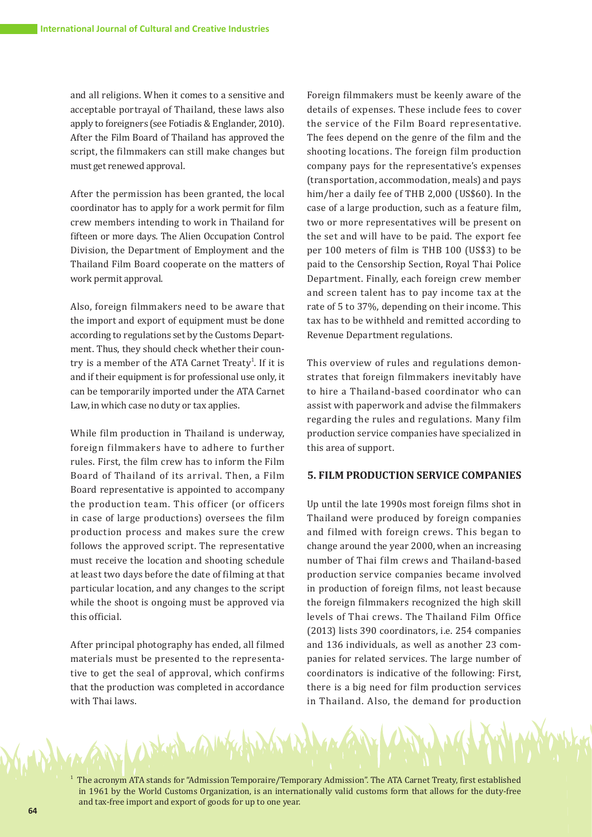and all religions. When it comes to a sensitive and acceptable portrayal of Thailand, these laws also apply to foreigners (see Fotiadis & Englander, 2010). After the Film Board of Thailand has approved the script, the filmmakers can still make changes but must get renewed approval.

After the permission has been granted, the local coordinator has to apply for a work permit for film crew members intending to work in Thailand for fifteen or more days. The Alien Occupation Control Division, the Department of Employment and the Thailand Film Board cooperate on the matters of work permit approval.

Also, foreign filmmakers need to be aware that the import and export of equipment must be done according to regulations set by the Customs Department. Thus, they should check whether their country is a member of the ATA Carnet Treaty<sup>1</sup>. If it is and if their equipment is for professional use only, it can be temporarily imported under the ATA Carnet Law, in which case no duty or tax applies.

While film production in Thailand is underway, foreign filmmakers have to adhere to further rules. First, the film crew has to inform the Film Board of Thailand of its arrival. Then, a Film Board representative is appointed to accompany the production team. This officer (or officers in case of large productions) oversees the film production process and makes sure the crew follows the approved script. The representative must receive the location and shooting schedule at least two days before the date of filming at that particular location, and any changes to the script while the shoot is ongoing must be approved via this official.

After principal photography has ended, all filmed materials must be presented to the representative to get the seal of approval, which confirms that the production was completed in accordance with Thai laws.

on a white

Foreign filmmakers must be keenly aware of the details of expenses. These include fees to cover the service of the Film Board representative. The fees depend on the genre of the film and the shooting locations. The foreign film production company pays for the representative's expenses (transportation, accommodation, meals) and pays him/her a daily fee of THB 2,000 (US\$60). In the case of a large production, such as a feature film, two or more representatives will be present on the set and will have to be paid. The export fee per 100 meters of film is THB 100 (US\$3) to be paid to the Censorship Section, Royal Thai Police Department. Finally, each foreign crew member and screen talent has to pay income tax at the rate of 5 to 37%, depending on their income. This tax has to be withheld and remitted according to Revenue Department regulations.

This overview of rules and regulations demonstrates that foreign filmmakers inevitably have to hire a Thailand-based coordinator who can assist with paperwork and advise the filmmakers regarding the rules and regulations. Many film production service companies have specialized in this area of support.

## **5. FILM PRODUCTION SERVICE COMPANIES**

Up until the late 1990s most foreign films shot in Thailand were produced by foreign companies and filmed with foreign crews. This began to change around the year 2000, when an increasing number of Thai film crews and Thailand-based production service companies became involved in production of foreign films, not least because the foreign filmmakers recognized the high skill levels of Thai crews. The Thailand Film Office (2013) lists 390 coordinators, i.e. 254 companies and 136 individuals, as well as another 23 companies for related services. The large number of coordinators is indicative of the following: First, there is a big need for film production services in Thailand. Also, the demand for production

1 The acronym ATA stands for "Admission Temporaire/Temporary Admission". The ATA Carnet Treaty, first established in 1961 by the World Customs Organization, is an internationally valid customs form that allows for the duty-free and tax-free import and export of goods for up to one year.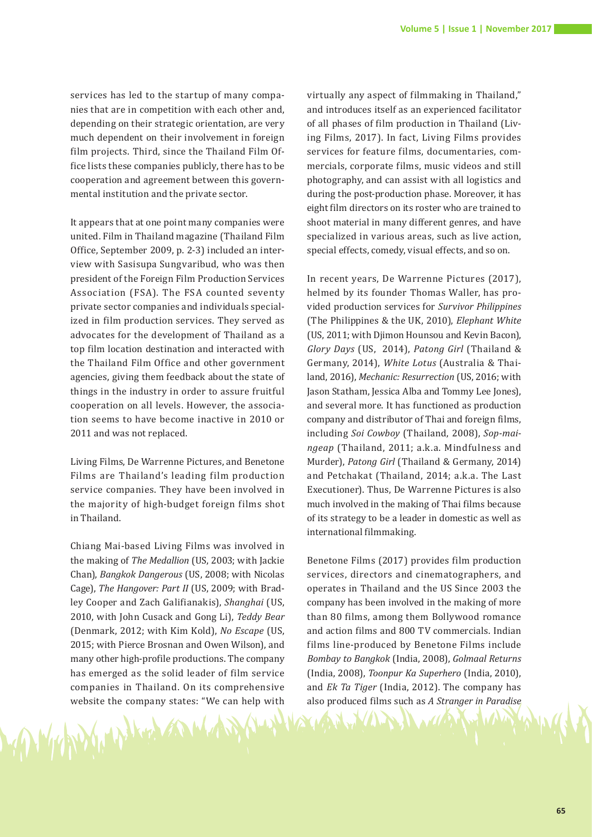services has led to the startup of many companies that are in competition with each other and, depending on their strategic orientation, are very much dependent on their involvement in foreign film projects. Third, since the Thailand Film Office lists these companies publicly, there has to be cooperation and agreement between this governmental institution and the private sector.

It appears that at one point many companies were united. Film in Thailand magazine (Thailand Film Office, September 2009, p. 2-3) included an interview with Sasisupa Sungvaribud, who was then president of the Foreign Film Production Services Association (FSA). The FSA counted seventy private sector companies and individuals specialized in film production services. They served as advocates for the development of Thailand as a top film location destination and interacted with the Thailand Film Office and other government agencies, giving them feedback about the state of things in the industry in order to assure fruitful cooperation on all levels. However, the association seems to have become inactive in 2010 or 2011 and was not replaced.

Living Films, De Warrenne Pictures, and Benetone Films are Thailand's leading film production service companies. They have been involved in the majority of high-budget foreign films shot in Thailand.

Chiang Mai-based Living Films was involved in the making of *The Medallion* (US, 2003; with Jackie Chan), *Bangkok Dangerous* (US, 2008; with Nicolas Cage), *The Hangover: Part II* (US, 2009; with Bradley Cooper and Zach Galifianakis), *Shanghai* (US, 2010, with John Cusack and Gong Li), *Teddy Bear*  (Denmark, 2012; with Kim Kold), *No Escape* (US, 2015; with Pierce Brosnan and Owen Wilson), and many other high-profile productions. The company has emerged as the solid leader of film service companies in Thailand. On its comprehensive website the company states: "We can help with

virtually any aspect of filmmaking in Thailand," and introduces itself as an experienced facilitator of all phases of film production in Thailand (Living Films, 2017). In fact, Living Films provides services for feature films, documentaries, commercials, corporate films, music videos and still photography, and can assist with all logistics and during the post-production phase. Moreover, it has eight film directors on its roster who are trained to shoot material in many different genres, and have specialized in various areas, such as live action, special effects, comedy, visual effects, and so on.

In recent years, De Warrenne Pictures (2017), helmed by its founder Thomas Waller, has provided production services for *Survivor Philippines*  (The Philippines & the UK, 2010), *Elephant White*  (US, 2011; with Djimon Hounsou and Kevin Bacon), *Glory Days* (US, 2014), *Patong Girl* (Thailand & Germany, 2014), *White Lotus* (Australia & Thailand, 2016), *Mechanic: Resurrection* (US, 2016; with Jason Statham, Jessica Alba and Tommy Lee Jones), and several more. It has functioned as production company and distributor of Thai and foreign films, including *Soi Cowboy* (Thailand, 2008), *Sop-maingeap* (Thailand, 2011; a.k.a. Mindfulness and Murder), *Patong Girl* (Thailand & Germany, 2014) and Petchakat (Thailand, 2014; a.k.a. The Last Executioner). Thus, De Warrenne Pictures is also much involved in the making of Thai films because of its strategy to be a leader in domestic as well as international filmmaking.

Benetone Films (2017) provides film production services, directors and cinematographers, and operates in Thailand and the US Since 2003 the company has been involved in the making of more than 80 films, among them Bollywood romance and action films and 800 TV commercials. Indian films line-produced by Benetone Films include *Bombay to Bangkok* (India, 2008), *Golmaal Returns*  (India, 2008), *Toonpur Ka Superhero* (India, 2010), and *Ek Ta Tiger* (India, 2012). The company has also produced films such as *A Stranger in Paradise*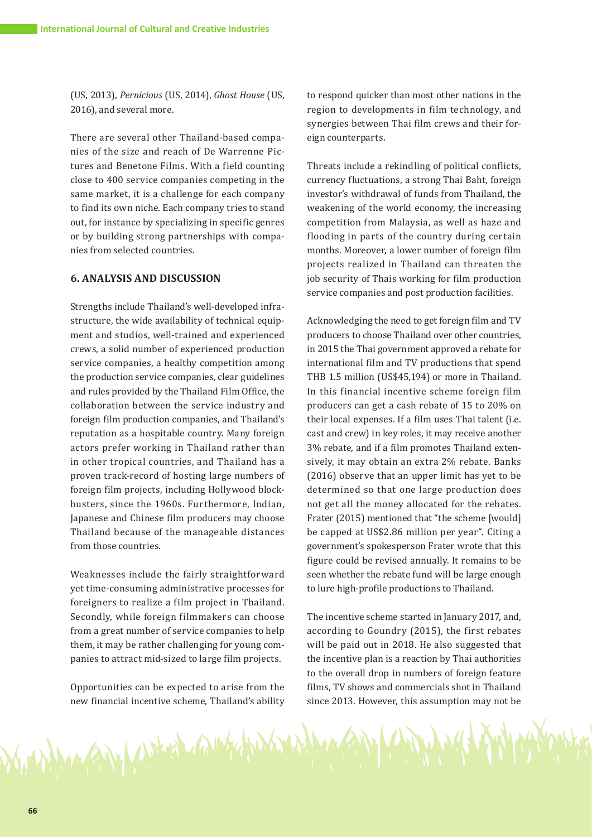(US, 2013), *Pernicious* (US, 2014), *Ghost House* (US, 2016), and several more.

There are several other Thailand-based companies of the size and reach of De Warrenne Pictures and Benetone Films. With a field counting close to 400 service companies competing in the same market, it is a challenge for each company to find its own niche. Each company tries to stand out, for instance by specializing in specific genres or by building strong partnerships with companies from selected countries.

#### **6. ANALYSIS AND DISCUSSION**

Strengths include Thailand's well-developed infrastructure, the wide availability of technical equipment and studios, well-trained and experienced crews, a solid number of experienced production service companies, a healthy competition among the production service companies, clear guidelines and rules provided by the Thailand Film Office, the collaboration between the service industry and foreign film production companies, and Thailand's reputation as a hospitable country. Many foreign actors prefer working in Thailand rather than in other tropical countries, and Thailand has a proven track-record of hosting large numbers of foreign film projects, including Hollywood blockbusters, since the 1960s. Furthermore, Indian, Japanese and Chinese film producers may choose Thailand because of the manageable distances from those countries.

Weaknesses include the fairly straightforward yet time-consuming administrative processes for foreigners to realize a film project in Thailand. Secondly, while foreign filmmakers can choose from a great number of service companies to help them, it may be rather challenging for young companies to attract mid-sized to large film projects.

Opportunities can be expected to arise from the new financial incentive scheme, Thailand's ability

Margary Control and the

to respond quicker than most other nations in the region to developments in film technology, and synergies between Thai film crews and their foreign counterparts.

Threats include a rekindling of political conflicts, currency fluctuations, a strong Thai Baht, foreign investor's withdrawal of funds from Thailand, the weakening of the world economy, the increasing competition from Malaysia, as well as haze and flooding in parts of the country during certain months. Moreover, a lower number of foreign film projects realized in Thailand can threaten the job security of Thais working for film production service companies and post production facilities.

Acknowledging the need to get foreign film and TV producers to choose Thailand over other countries, in 2015 the Thai government approved a rebate for international film and TV productions that spend THB 1.5 million (US\$45,194) or more in Thailand. In this financial incentive scheme foreign film producers can get a cash rebate of 15 to 20% on their local expenses. If a film uses Thai talent (i.e. cast and crew) in key roles, it may receive another 3% rebate, and if a film promotes Thailand extensively, it may obtain an extra 2% rebate. Banks (2016) observe that an upper limit has yet to be determined so that one large production does not get all the money allocated for the rebates. Frater (2015) mentioned that "the scheme [would] be capped at US\$2.86 million per year". Citing a government's spokesperson Frater wrote that this figure could be revised annually. It remains to be seen whether the rebate fund will be large enough to lure high-profile productions to Thailand.

The incentive scheme started in January 2017, and, according to Goundry (2015), the first rebates will be paid out in 2018. He also suggested that the incentive plan is a reaction by Thai authorities to the overall drop in numbers of foreign feature films, TV shows and commercials shot in Thailand since 2013. However, this assumption may not be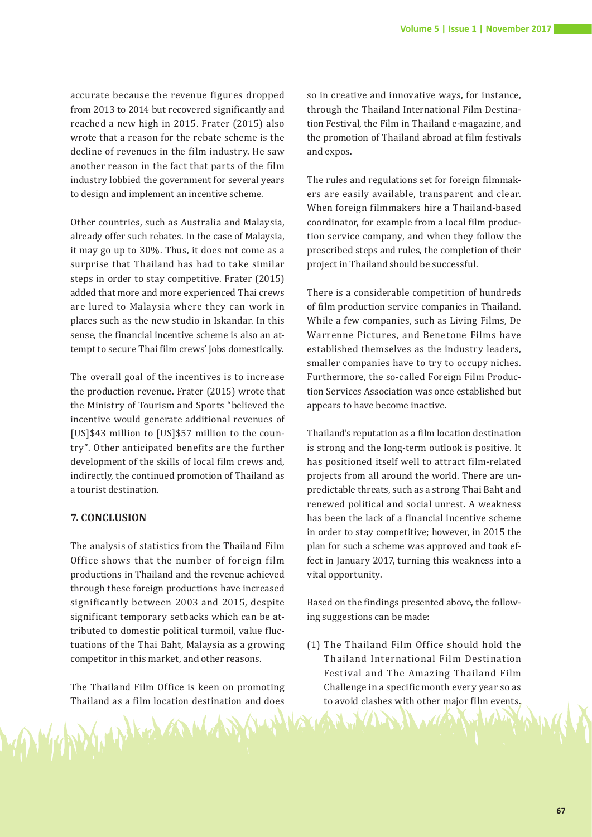accurate because the revenue figures dropped from 2013 to 2014 but recovered significantly and reached a new high in 2015. Frater (2015) also wrote that a reason for the rebate scheme is the decline of revenues in the film industry. He saw another reason in the fact that parts of the film industry lobbied the government for several years to design and implement an incentive scheme.

Other countries, such as Australia and Malaysia, already offer such rebates. In the case of Malaysia, it may go up to 30%. Thus, it does not come as a surprise that Thailand has had to take similar steps in order to stay competitive. Frater (2015) added that more and more experienced Thai crews are lured to Malaysia where they can work in places such as the new studio in Iskandar. In this sense, the financial incentive scheme is also an attempt to secure Thai film crews' jobs domestically.

The overall goal of the incentives is to increase the production revenue. Frater (2015) wrote that the Ministry of Tourism and Sports "believed the incentive would generate additional revenues of [US]\$43 million to [US]\$57 million to the country". Other anticipated benefits are the further development of the skills of local film crews and, indirectly, the continued promotion of Thailand as a tourist destination.

## **7. CONCLUSION**

The analysis of statistics from the Thailand Film Office shows that the number of foreign film productions in Thailand and the revenue achieved through these foreign productions have increased significantly between 2003 and 2015, despite significant temporary setbacks which can be attributed to domestic political turmoil, value fluctuations of the Thai Baht, Malaysia as a growing competitor in this market, and other reasons.

The Thailand Film Office is keen on promoting Thailand as a film location destination and does

so in creative and innovative ways, for instance, through the Thailand International Film Destination Festival, the Film in Thailand e-magazine, and the promotion of Thailand abroad at film festivals and expos.

The rules and regulations set for foreign filmmakers are easily available, transparent and clear. When foreign filmmakers hire a Thailand-based coordinator, for example from a local film production service company, and when they follow the prescribed steps and rules, the completion of their project in Thailand should be successful.

There is a considerable competition of hundreds of film production service companies in Thailand. While a few companies, such as Living Films, De Warrenne Pictures, and Benetone Films have established themselves as the industry leaders, smaller companies have to try to occupy niches. Furthermore, the so-called Foreign Film Production Services Association was once established but appears to have become inactive.

Thailand's reputation as a film location destination is strong and the long-term outlook is positive. It has positioned itself well to attract film-related projects from all around the world. There are unpredictable threats, such as a strong Thai Baht and renewed political and social unrest. A weakness has been the lack of a financial incentive scheme in order to stay competitive; however, in 2015 the plan for such a scheme was approved and took effect in January 2017, turning this weakness into a vital opportunity.

Based on the findings presented above, the following suggestions can be made:

(1) The Thailand Film Office should hold the Thailand International Film Destination Festival and The Amazing Thailand Film Challenge in a specific month every year so as to avoid clashes with other major film events.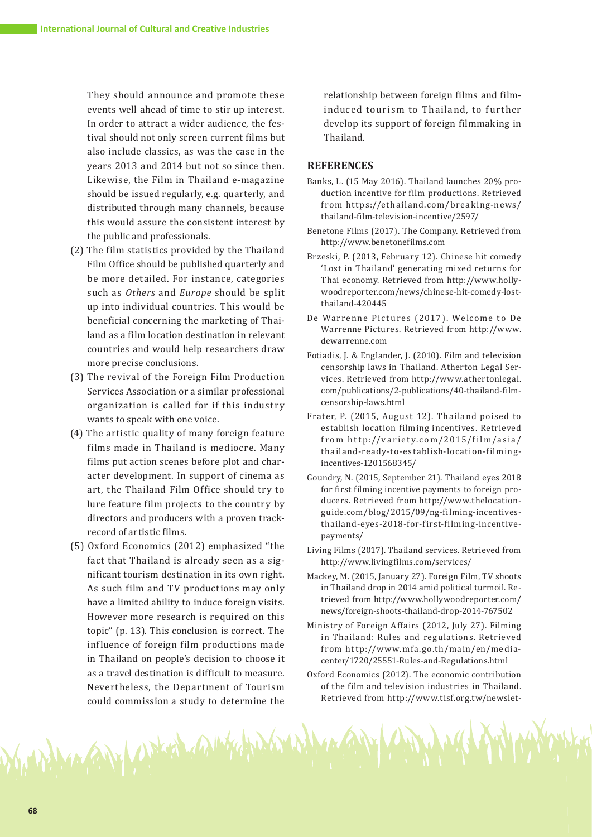They should announce and promote these events well ahead of time to stir up interest. In order to attract a wider audience, the festival should not only screen current films but also include classics, as was the case in the years 2013 and 2014 but not so since then. Likewise, the Film in Thailand e-magazine should be issued regularly, e.g. quarterly, and distributed through many channels, because this would assure the consistent interest by the public and professionals.

- (2) The film statistics provided by the Thailand Film Office should be published quarterly and be more detailed. For instance, categories such as *Others* and *Europe* should be split up into individual countries. This would be beneficial concerning the marketing of Thailand as a film location destination in relevant countries and would help researchers draw more precise conclusions.
- (3) The revival of the Foreign Film Production Services Association or a similar professional organization is called for if this industry wants to speak with one voice.
- (4) The artistic quality of many foreign feature films made in Thailand is mediocre. Many films put action scenes before plot and character development. In support of cinema as art, the Thailand Film Office should try to lure feature film projects to the country by directors and producers with a proven trackrecord of artistic films.
- (5) Oxford Economics (2012) emphasized "the fact that Thailand is already seen as a significant tourism destination in its own right. As such film and TV productions may only have a limited ability to induce foreign visits. However more research is required on this topic" (p. 13). This conclusion is correct. The influence of foreign film productions made in Thailand on people's decision to choose it as a travel destination is difficult to measure. Nevertheless, the Department of Tourism could commission a study to determine the

on fair and the mother

relationship between foreign films and filminduced tourism to Thailand, to further develop its support of foreign filmmaking in Thailand.

#### **REFERENCES**

- Banks, L. (15 May 2016). Thailand launches 20% production incentive for film productions. Retrieved from https://ethailand.com/breaking-news/ thailand-film-television-incentive/2597/
- Benetone Films (2017). The Company. Retrieved from http://www.benetonefilms.com
- Brzeski, P. (2013, February 12). Chinese hit comedy 'Lost in Thailand' generating mixed returns for Thai economy. Retrieved from http://www.hollywoodreporter.com/news/chinese-hit-comedy-lostthailand-420445
- De Warrenne Pictures (2017). Welcome to De Warrenne Pictures. Retrieved from http://www. dewarrenne.com
- Fotiadis, J. & Englander, J. (2010). Film and television censorship laws in Thailand. Atherton Legal Services. Retrieved from http://www.athertonlegal. com/publications/2-publications/40-thailand-filmcensorship-laws.html
- Frater, P. (2015, August 12). Thailand poised to establish location filming incentives. Retrieved from http://variety.com/2015/film/asia/ thailand-ready-to-establish-location-filmingincentives-1201568345/
- Goundry, N. (2015, September 21). Thailand eyes 2018 for first filming incentive payments to foreign producers. Retrieved from http://www.thelocationguide.com/blog/2015/09/ng-filming-incentivesthailand-eyes-2018-for-first-filming-incentivepayments/
- Living Films (2017). Thailand services. Retrieved from http://www.livingfilms.com/services/
- Mackey, M. (2015, January 27). Foreign Film, TV shoots in Thailand drop in 2014 amid political turmoil. Retrieved from http://www.hollywoodreporter.com/ news/foreign-shoots-thailand-drop-2014-767502
- Ministry of Foreign Affairs (2012, July 27). Filming in Thailand: Rules and regulations. Retrieved from http://www.mfa.go.th/main/en/mediacenter/1720/25551-Rules-and-Regulations.html
- Oxford Economics (2012). The economic contribution of the film and television industries in Thailand. Retrieved from http://www.tisf.org.tw/newslet-